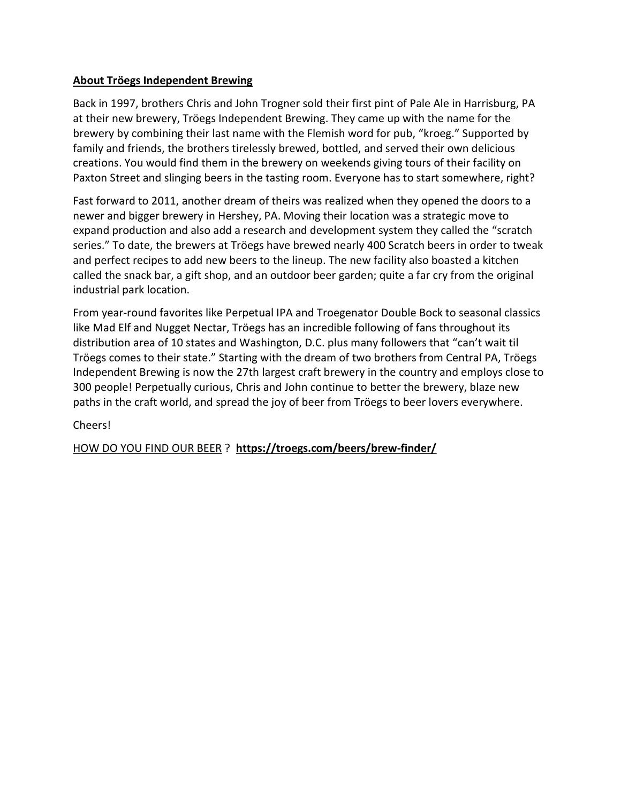## About Tröegs Independent Brewing

Back in 1997, brothers Chris and John Trogner sold their first pint of Pale Ale in Harrisburg, PA at their new brewery, Tröegs Independent Brewing. They came up with the name for the brewery by combining their last name with the Flemish word for pub, "kroeg." Supported by family and friends, the brothers tirelessly brewed, bottled, and served their own delicious creations. You would find them in the brewery on weekends giving tours of their facility on Paxton Street and slinging beers in the tasting room. Everyone has to start somewhere, right?

Fast forward to 2011, another dream of theirs was realized when they opened the doors to a newer and bigger brewery in Hershey, PA. Moving their location was a strategic move to expand production and also add a research and development system they called the "scratch series." To date, the brewers at Tröegs have brewed nearly 400 Scratch beers in order to tweak and perfect recipes to add new beers to the lineup. The new facility also boasted a kitchen called the snack bar, a gift shop, and an outdoor beer garden; quite a far cry from the original industrial park location.

From year-round favorites like Perpetual IPA and Troegenator Double Bock to seasonal classics like Mad Elf and Nugget Nectar, Tröegs has an incredible following of fans throughout its distribution area of 10 states and Washington, D.C. plus many followers that "can't wait til Tröegs comes to their state." Starting with the dream of two brothers from Central PA, Tröegs Independent Brewing is now the 27th largest craft brewery in the country and employs close to 300 people! Perpetually curious, Chris and John continue to better the brewery, blaze new paths in the craft world, and spread the joy of beer from Tröegs to beer lovers everywhere.

# Cheers!

HOW DO YOU FIND OUR BEER ? https://troegs.com/beers/brew-finder/